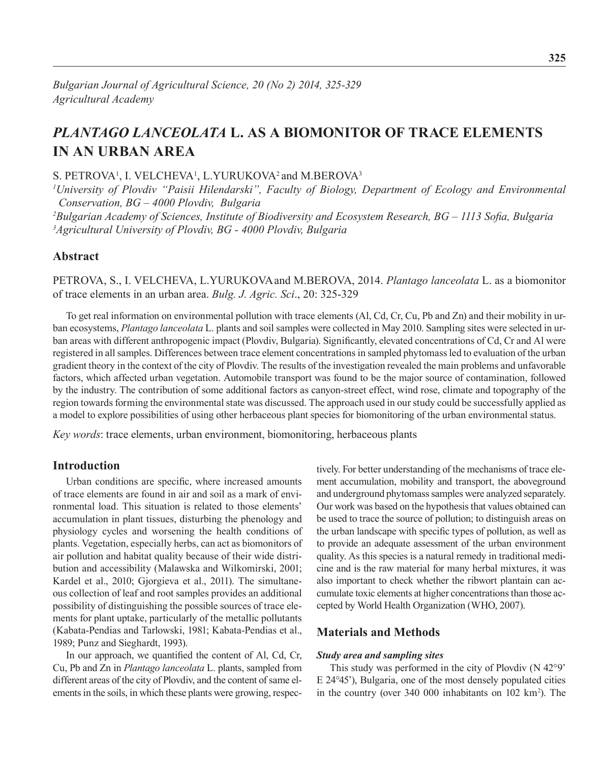# *Plantago lanceolata* **L. as a Biomonitor of Trace Elements in an Urban Area**

S. PETROVA<sup>1</sup>, I. VELCHEVA<sup>1</sup>, L.YURUKOVA<sup>2</sup> and M.BEROVA<sup>3</sup>

*1 University of Plovdiv "Paisii Hilendarski", Faculty of Biology, Department of Ecology and Environmental Conservation, BG – 4000 Plovdiv, Bulgaria*

*2 Bulgarian Academy of Sciences, Institute of Biodiversity and Ecosystem Research, BG – 1113 Sofia, Bulgaria 3 Agricultural University of Plovdiv, BG - 4000 Plovdiv, Bulgaria* 

## **Abstract**

Petrova, S., I. Velcheva, L.Yurukovaand M.Berova, 2014. *Plantago lanceolata* L. as a biomonitor of trace elements in an urban area. *Bulg. J. Agric. Sci*., 20: 325-329

To get real information on environmental pollution with trace elements (Al, Cd, Cr, Cu, Pb and Zn) and their mobility in urban ecosystems, *Plantago lanceolata* L. plants and soil samples were collected in May 2010. Sampling sites were selected in urban areas with different anthropogenic impact (Plovdiv, Bulgaria). Significantly, elevated concentrations of Cd, Cr and Al were registered in all samples. Differences between trace element concentrations in sampled phytomass led to evaluation of the urban gradient theory in the context of the city of Plovdiv. The results of the investigation revealed the main problems and unfavorable factors, which affected urban vegetation. Automobile transport was found to be the major source of contamination, followed by the industry. The contribution of some additional factors as canyon-street effect, wind rose, climate and topography of the region towards forming the environmental state was discussed. The approach used in our study could be successfully applied as a model to explore possibilities of using other herbaceous plant species for biomonitoring of the urban environmental status.

*Key words*: trace elements, urban environment, biomonitoring, herbaceous plants

## **Introduction**

Urban conditions are specific, where increased amounts of trace elements are found in air and soil as a mark of environmental load. This situation is related to those elements' accumulation in plant tissues, disturbing the phenology and physiology cycles and worsening the health conditions of plants. Vegetation, especially herbs, can act as biomonitors of air pollution and habitat quality because of their wide distribution and accessibility (Malawska and Wilkomirski, 2001; Kardel et al., 2010; Gjorgieva et al., 2011). The simultaneous collection of leaf and root samples provides an additional possibility of distinguishing the possible sources of trace elements for plant uptake, particularly of the metallic pollutants (Kabata-Pendias and Tarlowski, 1981; Kabata-Pendias et al., 1989; Punz and Sieghardt, 1993).

In our approach, we quantified the content of Al, Cd, Cr, Cu, Pb and Zn in *Plantago lanceolata* L. plants, sampled from different areas of the city of Plovdiv, and the content of same elements in the soils, in which these plants were growing, respec-

tively. For better understanding of the mechanisms of trace element accumulation, mobility and transport, the aboveground and underground phytomass samples were analyzed separately. Our work was based on the hypothesis that values obtained can be used to trace the source of pollution; to distinguish areas on the urban landscape with specific types of pollution, as well as to provide an adequate assessment of the urban environment quality. As this species is a natural remedy in traditional medicine and is the raw material for many herbal mixtures, it was also important to check whether the ribwort plantain can accumulate toxic elements at higher concentrations than those accepted by World Health Organization (WHO, 2007).

## **Materials and Methods**

#### *Study area and sampling sites*

This study was performed in the city of Plovdiv (N 42°9' E 24°45'), Bulgaria, one of the most densely populated cities in the country (over 340 000 inhabitants on 102 km<sup>2</sup>). The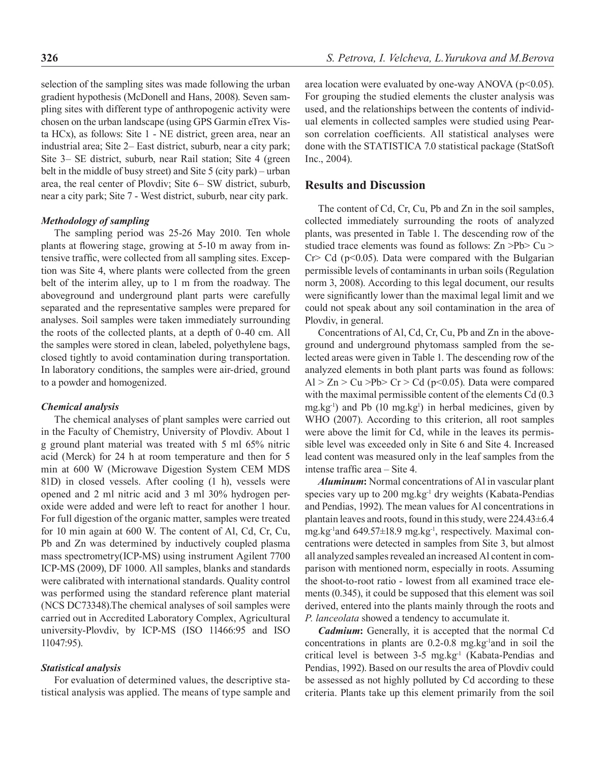selection of the sampling sites was made following the urban gradient hypothesis (McDonell and Hans, 2008). Seven sampling sites with different type of anthropogenic activity were chosen on the urban landscape (using GPS Garmin eTrex Vista HCx), as follows: Site 1 - NE district, green area, near an industrial area; Site 2– East district, suburb, near a city park; Site 3– SE district, suburb, near Rail station; Site 4 (green belt in the middle of busy street) and Site 5 (city park) – urban area, the real center of Plovdiv; Site 6– SW district, suburb, near a city park; Site 7 - West district, suburb, near city park.

### *Methodology of sampling*

The sampling period was 25-26 May 2010. Ten whole plants at flowering stage, growing at 5-10 m away from intensive traffic, were collected from all sampling sites. Exception was Site 4, where plants were collected from the green belt of the interim alley, up to 1 m from the roadway. The aboveground and underground plant parts were carefully separated and the representative samples were prepared for analyses. Soil samples were taken immediately surrounding the roots of the collected plants, at a depth of 0-40 cm. All the samples were stored in clean, labeled, polyethylene bags, closed tightly to avoid contamination during transportation. In laboratory conditions, the samples were air-dried, ground to a powder and homogenized.

#### *Chemical analysis*

The chemical analyses of plant samples were carried out in the Faculty of Chemistry, University of Plovdiv. About 1 g ground plant material was treated with 5 ml 65% nitric acid (Merck) for 24 h at room temperature and then for 5 min at 600 W (Microwave Digestion System CEM MDS 81D) in closed vessels. After cooling (1 h), vessels were opened and 2 ml nitric acid and 3 ml 30% hydrogen peroxide were added and were left to react for another 1 hour. For full digestion of the organic matter, samples were treated for 10 min again at 600 W. The content of Al, Cd, Cr, Cu, Pb and Zn was determined by inductively coupled plasma mass spectrometry(ICP-MS) using instrument Agilent 7700 ICP-MS (2009), DF 1000. All samples, blanks and standards were calibrated with international standards. Quality control was performed using the standard reference plant material (NCS DC73348).The chemical analyses of soil samples were carried out in Accredited Laboratory Complex, Agricultural university-Plovdiv, by ICP-MS (ISO 11466:95 and ISO 11047:95).

#### *Statistical analysis*

For evaluation of determined values, the descriptive statistical analysis was applied. The means of type sample and area location were evaluated by one-way ANOVA ( $p<0.05$ ). For grouping the studied elements the cluster analysis was used, and the relationships between the contents of individual elements in collected samples were studied using Pearson correlation coefficients. All statistical analyses were done with the STATISTICA 7.0 statistical package (StatSoft Inc., 2004).

## **Results and Discussion**

The content of Cd, Cr, Cu, Pb and Zn in the soil samples, collected immediately surrounding the roots of analyzed plants, was presented in Table 1. The descending row of the studied trace elements was found as follows: Zn >Pb> Cu >  $Cr > Cd$  (p<0.05). Data were compared with the Bulgarian permissible levels of contaminants in urban soils (Regulation norm 3, 2008). According to this legal document, our results were significantly lower than the maximal legal limit and we could not speak about any soil contamination in the area of Plovdiv, in general.

Concentrations of Al, Cd, Cr, Cu, Pb and Zn in the aboveground and underground phytomass sampled from the selected areas were given in Table 1. The descending row of the analyzed elements in both plant parts was found as follows:  $Al > Zn > Cu > Pb > Cr > Cd (p<0.05)$ . Data were compared with the maximal permissible content of the elements Cd (0.3  $mg.kg^{-1}$ ) and Pb (10 mg.kg<sup>1</sup>) in herbal medicines, given by WHO (2007). According to this criterion, all root samples were above the limit for Cd, while in the leaves its permissible level was exceeded only in Site 6 and Site 4. Increased lead content was measured only in the leaf samples from the intense traffic area – Site 4.

*Aluminum***:** Normal concentrations of Al in vascular plant species vary up to 200 mg.kg $^{-1}$  dry weights (Kabata-Pendias and Pendias, 1992). The mean values for Al concentrations in plantain leaves and roots, found in this study, were 224.43±6.4 mg.kg-1and 649.57±18.9 mg.kg-1, respectively. Maximal concentrations were detected in samples from Site 3, but almost all analyzed samples revealed an increased Al content in comparison with mentioned norm, especially in roots. Assuming the shoot-to-root ratio - lowest from all examined trace elements (0.345), it could be supposed that this element was soil derived, entered into the plants mainly through the roots and *P. lanceolata* showed a tendency to accumulate it.

*Cadmium***:** Generally, it is accepted that the normal Cd concentrations in plants are 0.2-0.8 mg.kg<sup>-1</sup>and in soil the critical level is between 3-5 mg.kg-1 (Kabata-Pendias and Pendias, 1992). Based on our results the area of Plovdiv could be assessed as not highly polluted by Cd according to these criteria. Plants take up this element primarily from the soil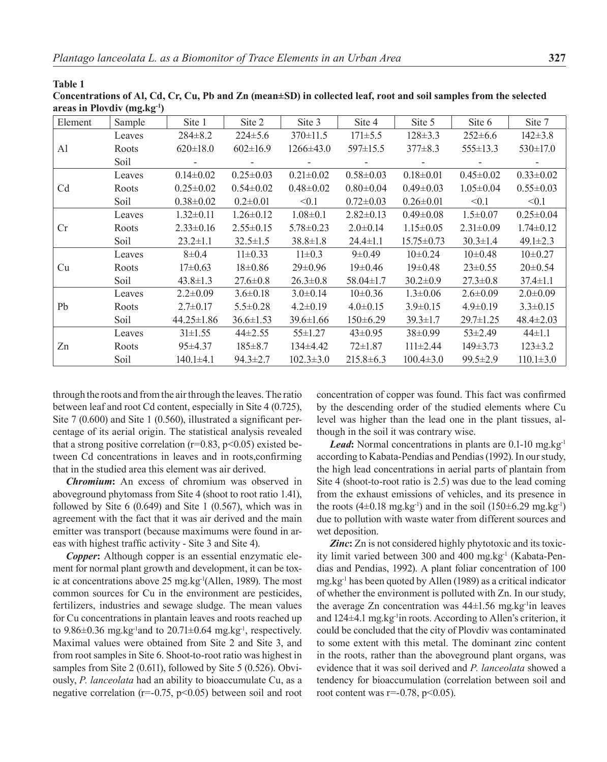**Table 1** 

**Concentrations of Al, Cd, Cr, Cu, Pb and Zn (mean±SD) in collected leaf, root and soil samples from the selected areas in Plovdiv (mg.kg-1)**

| Element        | Sample | Site 1           | Site 2          | Site 3          | Site 4          | Site 5           | Site 6          | Site 7          |
|----------------|--------|------------------|-----------------|-----------------|-----------------|------------------|-----------------|-----------------|
| Al             | Leaves | $284 \pm 8.2$    | $224 \pm 5.6$   | $370 \pm 11.5$  | $171 \pm 5.5$   | $128 \pm 3.3$    | $252 \pm 6.6$   | $142 \pm 3.8$   |
|                | Roots  | $620 \pm 18.0$   | $602 \pm 16.9$  | $1266 \pm 43.0$ | 597±15.5        | $377 \pm 8.3$    | $555 \pm 13.3$  | $530 \pm 17.0$  |
|                | Soil   |                  |                 |                 |                 |                  |                 |                 |
| C <sub>d</sub> | Leaves | $0.14 \pm 0.02$  | $0.25 \pm 0.03$ | $0.21 \pm 0.02$ | $0.58 \pm 0.03$ | $0.18 \pm 0.01$  | $0.45 \pm 0.02$ | $0.33 \pm 0.02$ |
|                | Roots  | $0.25 \pm 0.02$  | $0.54 \pm 0.02$ | $0.48 \pm 0.02$ | $0.80 \pm 0.04$ | $0.49 \pm 0.03$  | $1.05 \pm 0.04$ | $0.55 \pm 0.03$ |
|                | Soil   | $0.38 \pm 0.02$  | $0.2 \pm 0.01$  | $\leq 0.1$      | $0.72 \pm 0.03$ | $0.26 \pm 0.01$  | < 0.1           | < 0.1           |
| Cr             | Leaves | $1.32 \pm 0.11$  | $1.26 \pm 0.12$ | $1.08 \pm 0.1$  | $2.82 \pm 0.13$ | $0.49 \pm 0.08$  | $1.5 \pm 0.07$  | $0.25 \pm 0.04$ |
|                | Roots  | $2.33 \pm 0.16$  | $2.55 \pm 0.15$ | $5.78 \pm 0.23$ | $2.0 \pm 0.14$  | $1.15 \pm 0.05$  | $2.31 \pm 0.09$ | $1.74 \pm 0.12$ |
|                | Soil   | $23.2 \pm 1.1$   | $32.5 \pm 1.5$  | $38.8 \pm 1.8$  | $24.4 \pm 1.1$  | $15.75 \pm 0.73$ | $30.3 \pm 1.4$  | $49.1 \pm 2.3$  |
| Cu             | Leaves | $8 \pm 0.4$      | $11\pm0.33$     | $11\pm0.3$      | $9 \pm 0.49$    | $10\pm0.24$      | $10\pm0.48$     | $10\pm0.27$     |
|                | Roots  | $17\pm0.63$      | $18 \pm 0.86$   | $29 \pm 0.96$   | $19 \pm 0.46$   | $19\pm0.48$      | $23 \pm 0.55$   | $20 \pm 0.54$   |
|                | Soil   | $43.8 \pm 1.3$   | $27.6 \pm 0.8$  | $26.3 \pm 0.8$  | $58.04 \pm 1.7$ | $30.2 \pm 0.9$   | $27.3 \pm 0.8$  | $37.4 \pm 1.1$  |
| Pb             | Leaves | $2.2 \pm 0.09$   | $3.6 \pm 0.18$  | $3.0 \pm 0.14$  | $10\pm0.36$     | $1.3 \pm 0.06$   | $2.6 \pm 0.09$  | $2.0 \pm 0.09$  |
|                | Roots  | $2.7 \pm 0.17$   | $5.5 \pm 0.28$  | $4.2 \pm 0.19$  | $4.0 \pm 0.15$  | $3.9 \pm 0.15$   | $4.9 \pm 0.19$  | $3.3 \pm 0.15$  |
|                | Soil   | $44.25 \pm 1.86$ | $36.6 \pm 1.53$ | $39.6 \pm 1.66$ | $150 \pm 6.29$  | $39.3 \pm 1.7$   | $29.7 \pm 1.25$ | $48.4 \pm 2.03$ |
| Zn             | Leaves | $31\pm1.55$      | $44\pm2.55$     | $55 \pm 1.27$   | $43 \pm 0.95$   | $38\pm0.99$      | $53\pm2.49$     | $44 \pm 1.1$    |
|                | Roots  | $95 \pm 4.37$    | $185 \pm 8.7$   | $134\pm4.42$    | $72 \pm 1.87$   | $111\pm2.44$     | $149 \pm 3.73$  | $123 \pm 3.2$   |
|                | Soil   | $140.1 \pm 4.1$  | $94.3 \pm 2.7$  | $102.3 \pm 3.0$ | $215.8 \pm 6.3$ | $100.4 \pm 3.0$  | $99.5 \pm 2.9$  | $110.1 \pm 3.0$ |

through the roots and from the air through the leaves. The ratio between leaf and root Cd content, especially in Site 4 (0.725), Site 7 (0.600) and Site 1 (0.560), illustrated a significant percentage of its aerial origin. The statistical analysis revealed that a strong positive correlation ( $r=0.83$ ,  $p<0.05$ ) existed between Cd concentrations in leaves and in roots,confirming that in the studied area this element was air derived.

*Chromium***:** An excess of chromium was observed in aboveground phytomass from Site 4 (shoot to root ratio 1.41), followed by Site  $6(0.649)$  and Site 1  $(0.567)$ , which was in agreement with the fact that it was air derived and the main emitter was transport (because maximums were found in areas with highest traffic activity - Site 3 and Site 4).

*Copper***:** Although copper is an essential enzymatic element for normal plant growth and development, it can be toxic at concentrations above 25 mg.kg-1(Allen, 1989). The most common sources for Cu in the environment are pesticides, fertilizers, industries and sewage sludge. The mean values for Cu concentrations in plantain leaves and roots reached up to 9.86 $\pm$ 0.36 mg.kg<sup>-1</sup>and to 20.71 $\pm$ 0.64 mg.kg<sup>-1</sup>, respectively. Maximal values were obtained from Site 2 and Site 3, and from root samples in Site 6. Shoot-to-root ratio was highest in samples from Site 2 (0.611), followed by Site 5 (0.526). Obviously, *P. lanceolata* had an ability to bioaccumulate Cu, as a negative correlation ( $r=0.75$ ,  $p<0.05$ ) between soil and root

concentration of copper was found. This fact was confirmed by the descending order of the studied elements where Cu level was higher than the lead one in the plant tissues, although in the soil it was contrary wise.

Lead: Normal concentrations in plants are 0.1-10 mg.kg<sup>-1</sup> according to Kabata-Pendias and Pendias (1992). In our study, the high lead concentrations in aerial parts of plantain from Site 4 (shoot-to-root ratio is 2.5) was due to the lead coming from the exhaust emissions of vehicles, and its presence in the roots  $(4\pm 0.18 \text{ mg} \cdot \text{kg}^{-1})$  and in the soil  $(150\pm 6.29 \text{ mg} \cdot \text{kg}^{-1})$ due to pollution with waste water from different sources and wet deposition.

*Zinc***:** Zn is not considered highly phytotoxic and its toxicity limit varied between 300 and 400 mg.kg<sup>-1</sup> (Kabata-Pendias and Pendias, 1992). A plant foliar concentration of 100 mg.kg-1 has been quoted by Allen (1989) as a critical indicator of whether the environment is polluted with Zn. In our study, the average Zn concentration was  $44\pm1.56$  mg.kg<sup>-1</sup>in leaves and 124±4.1 mg.kg<sup>-1</sup>in roots. According to Allen's criterion, it could be concluded that the city of Plovdiv was contaminated to some extent with this metal. The dominant zinc content in the roots, rather than the aboveground plant organs, was evidence that it was soil derived and *P. lanceolata* showed a tendency for bioaccumulation (correlation between soil and root content was  $r=-0.78$ ,  $p<0.05$ ).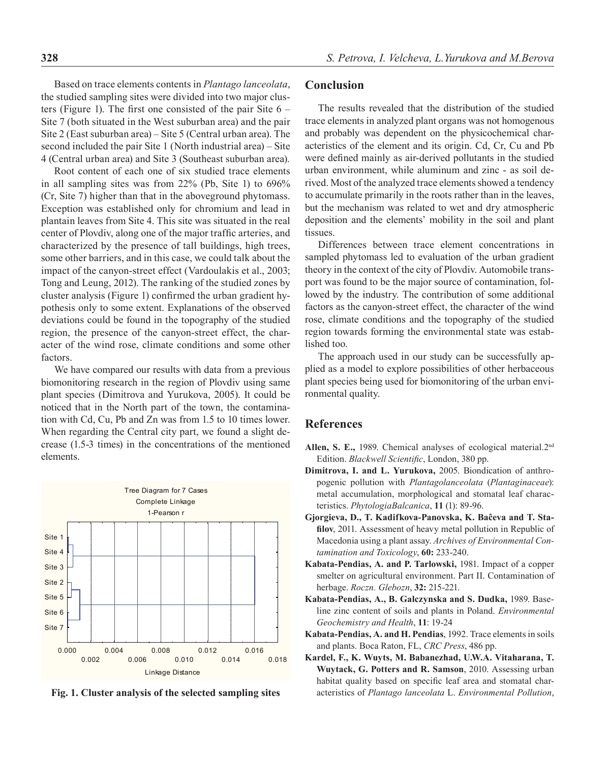Based on trace elements contents in *Plantago lanceolata*, the studied sampling sites were divided into two major clusters (Figure 1). The first one consisted of the pair Site  $6 -$ Site 7 (both situated in the West suburban area) and the pair Site 2 (East suburban area) – Site 5 (Central urban area). The second included the pair Site 1 (North industrial area) – Site 4 (Central urban area) and Site 3 (Southeast suburban area).

Root content of each one of six studied trace elements in all sampling sites was from 22% (Pb, Site 1) to 696% (Cr, Site 7) higher than that in the aboveground phytomass. Exception was established only for chromium and lead in plantain leaves from Site 4. This site was situated in the real center of Plovdiv, along one of the major traffic arteries, and characterized by the presence of tall buildings, high trees, some other barriers, and in this case, we could talk about the impact of the canyon-street effect (Vardoulakis et al., 2003; Tong and Leung, 2012). The ranking of the studied zones by cluster analysis (Figure 1) confirmed the urban gradient hypothesis only to some extent. Explanations of the observed deviations could be found in the topography of the studied region, the presence of the canyon-street effect, the character of the wind rose, climate conditions and some other factors.

We have compared our results with data from a previous biomonitoring research in the region of Plovdiv using same plant species (Dimitrova and Yurukova, 2005). It could be noticed that in the North part of the town, the contamination with Cd, Cu, Pb and Zn was from 1.5 to 10 times lower. When regarding the Central city part, we found a slight decrease (1.5-3 times) in the concentrations of the mentioned elements.



**Fig. 1. Cluster analysis of the selected sampling sites**

## **Conclusion**

The results revealed that the distribution of the studied trace elements in analyzed plant organs was not homogenous and probably was dependent on the physicochemical characteristics of the element and its origin. Cd, Cr, Cu and Pb were defined mainly as air-derived pollutants in the studied urban environment, while aluminum and zinc - as soil derived. Most of the analyzed trace elements showed a tendency to accumulate primarily in the roots rather than in the leaves, but the mechanism was related to wet and dry atmospheric deposition and the elements' mobility in the soil and plant tissues.

Differences between trace element concentrations in sampled phytomass led to evaluation of the urban gradient theory in the context of the city of Plovdiv. Automobile transport was found to be the major source of contamination, followed by the industry. The contribution of some additional factors as the canyon-street effect, the character of the wind rose, climate conditions and the topography of the studied region towards forming the environmental state was established too.

The approach used in our study can be successfully applied as a model to explore possibilities of other herbaceous plant species being used for biomonitoring of the urban environmental quality.

## **References**

- **Allen, S. E.,** 1989. Chemical analyses of ecological material.2nd Edition. *Blackwell Scientific*, London, 380 pp.
- **Dimitrova, I. and L. Yurukova,** 2005. Biondication of anthropogenic pollution with *Plantagolanceolata* (*Plantaginaceae*): metal accumulation, morphological and stomatal leaf characteristics. *PhytologiaBalcanica*, **11** (1): 89-96.
- **Gjorgieva, D., T. Kadifkova-Panovska, K. Baĉeva and T. Stafilov**, 2011. Assessment of heavy metal pollution in Republic of Macedonia using a plant assay. *Archives of Environmental Contamination and Toxicology*, **60:** 233-240.
- **Kabata-Pendias, A. and P. Tarlowski,** 1981. Impact of a copper smelter on agricultural environment. Part II. Contamination of herbage. *Roczn. Glebozn*, **32:** 215-221.
- **Kabata-Pendias, A., B. Galczynska and S. Dudka,** 1989. Baseline zinc content of soils and plants in Poland. *Environmental Geochemistry and Health*, **11**: 19-24
- **Kabata-Pendias, A. and H. Pendias**, 1992. Trace elements in soils and plants. Boca Raton, FL, *CRC Press*, 486 pp.
- **Kardel, F., K. Wuyts, M. Babanezhad, U.W.A. Vitaharana, T. Wuytack, G. Potters and R. Samson**, 2010. Assessing urban habitat quality based on specific leaf area and stomatal characteristics of *Plantago lanceolata* L. *Environmental Pollution*,